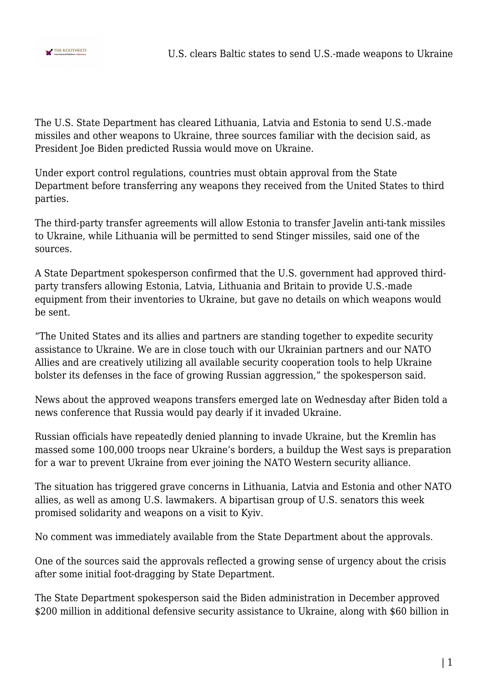

The U.S. State Department has cleared Lithuania, Latvia and Estonia to send U.S.-made missiles and other weapons to Ukraine, three sources familiar with the decision said, as President Joe Biden predicted Russia would move on Ukraine.

Under export control regulations, countries must obtain approval from the State Department before transferring any weapons they received from the United States to third parties.

The third-party transfer agreements will allow Estonia to transfer Javelin anti-tank missiles to Ukraine, while Lithuania will be permitted to send Stinger missiles, said one of the sources.

A State Department spokesperson confirmed that the U.S. government had approved thirdparty transfers allowing Estonia, Latvia, Lithuania and Britain to provide U.S.-made equipment from their inventories to Ukraine, but gave no details on which weapons would be sent.

"The United States and its allies and partners are standing together to expedite security assistance to Ukraine. We are in close touch with our Ukrainian partners and our NATO Allies and are creatively utilizing all available security cooperation tools to help Ukraine bolster its defenses in the face of growing Russian aggression," the spokesperson said.

News about the approved weapons transfers emerged late on Wednesday after Biden told a news conference that Russia would pay dearly if it invaded Ukraine.

Russian officials have repeatedly denied planning to invade Ukraine, but the Kremlin has massed some 100,000 troops near Ukraine's borders, a buildup the West says is preparation for a war to prevent Ukraine from ever joining the NATO Western security alliance.

The situation has triggered grave concerns in Lithuania, Latvia and Estonia and other NATO allies, as well as among U.S. lawmakers. A bipartisan group of U.S. senators this week promised solidarity and weapons on a visit to Kyiv.

No comment was immediately available from the State Department about the approvals.

One of the sources said the approvals reflected a growing sense of urgency about the crisis after some initial foot-dragging by State Department.

The State Department spokesperson said the Biden administration in December approved \$200 million in additional defensive security assistance to Ukraine, along with \$60 billion in